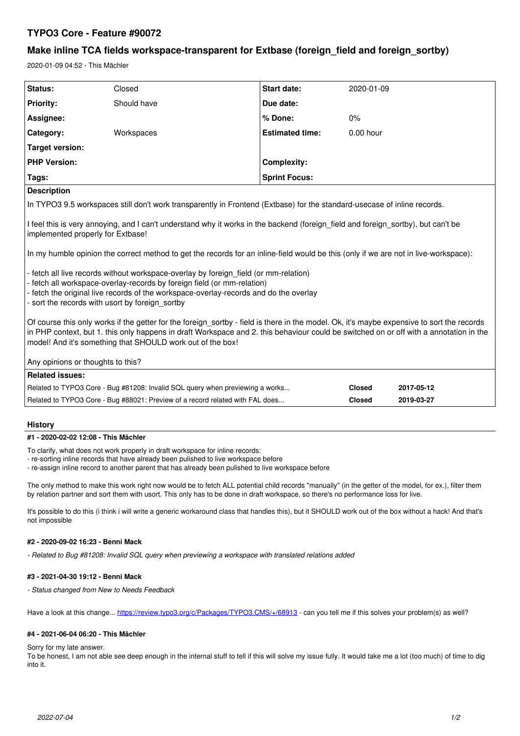# **TYPO3 Core - Feature #90072**

# **Make inline TCA fields workspace-transparent for Extbase (foreign\_field and foreign\_sortby)**

2020-01-09 04:52 - This Mächler

| Status:               | Closed      | <b>Start date:</b>     | 2020-01-09  |  |
|-----------------------|-------------|------------------------|-------------|--|
| <b>Priority:</b>      | Should have | Due date:              |             |  |
| Assignee:             |             | % Done:                | $0\%$       |  |
| Category:             | Workspaces  | <b>Estimated time:</b> | $0.00$ hour |  |
| Target version:       |             |                        |             |  |
| <b>PHP Version:</b>   |             | <b>Complexity:</b>     |             |  |
| Tags:                 |             | <b>Sprint Focus:</b>   |             |  |
| المملئميات والمتحددات |             |                        |             |  |

### **Description**

In TYPO3 9.5 workspaces still don't work transparently in Frontend (Extbase) for the standard-usecase of inline records.

I feel this is very annoying, and I can't understand why it works in the backend (foreign field and foreign sortby), but can't be implemented properly for Extbase!

In my humble opinion the correct method to get the records for an inline-field would be this (only if we are not in live-workspace):

- fetch all live records without workspace-overlay by foreign\_field (or mm-relation)
- fetch all workspace-overlay-records by foreign field (or mm-relation)
- fetch the original live records of the workspace-overlay-records and do the overlay

- sort the records with usort by foreign\_sortby

Of course this only works if the getter for the foreign sortby - field is there in the model. Ok, it's maybe expensive to sort the records in PHP context, but 1. this only happens in draft Workspace and 2. this behaviour could be switched on or off with a annotation in the model! And it's something that SHOULD work out of the box!

Any opinions or thoughts to this?

| Related issues: I                                                             |        |            |  |  |  |
|-------------------------------------------------------------------------------|--------|------------|--|--|--|
| Related to TYPO3 Core - Bug #81208: Invalid SQL query when previewing a works | Closed | 2017-05-12 |  |  |  |
| Related to TYPO3 Core - Bug #88021: Preview of a record related with FAL does | Closed | 2019-03-27 |  |  |  |

### **History**

## **#1 - 2020-02-02 12:08 - This Mächler**

To clarify, what does not work properly in draft workspace for inline records:

- re-sorting inline records that have already been pulished to live workspace before

- re-assign inline record to another parent that has already been pulished to live workspace before

The only method to make this work right now would be to fetch ALL potential child records "manually" (in the getter of the model, for ex.), filter them by relation partner and sort them with usort. This only has to be done in draft workspace, so there's no performance loss for live.

It's possible to do this (i think i will write a generic workaround class that handles this), but it SHOULD work out of the box without a hack! And that's not impossible

### **#2 - 2020-09-02 16:23 - Benni Mack**

*- Related to Bug #81208: Invalid SQL query when previewing a workspace with translated relations added*

### **#3 - 2021-04-30 19:12 - Benni Mack**

*- Status changed from New to Needs Feedback*

Have a look at this change...<https://review.typo3.org/c/Packages/TYPO3.CMS/+/68913> - can you tell me if this solves your problem(s) as well?

### **#4 - 2021-06-04 06:20 - This Mächler**

#### Sorry for my late answer.

To be honest, I am not able see deep enough in the internal stuff to tell if this will solve my issue fully. It would take me a lot (too much) of time to dig into it.